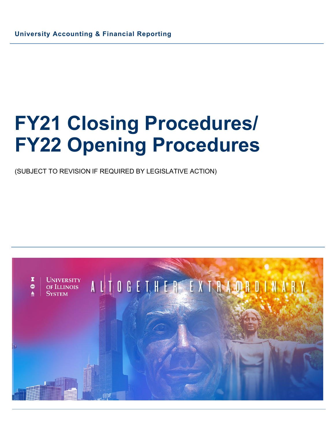(SUBJECT TO REVISION IF REQUIRED BY LEGISLATIVE ACTION)

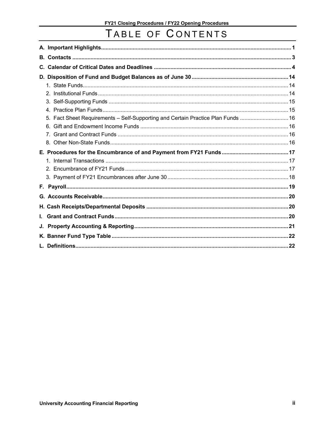## TABLE OF CONTENTS

| C. |                                                                               |  |
|----|-------------------------------------------------------------------------------|--|
|    |                                                                               |  |
|    |                                                                               |  |
|    |                                                                               |  |
|    |                                                                               |  |
|    |                                                                               |  |
|    | Fact Sheet Requirements - Self-Supporting and Certain Practice Plan Funds  16 |  |
|    |                                                                               |  |
|    |                                                                               |  |
|    |                                                                               |  |
|    |                                                                               |  |
|    |                                                                               |  |
|    |                                                                               |  |
|    |                                                                               |  |
|    |                                                                               |  |
|    |                                                                               |  |
|    |                                                                               |  |
|    |                                                                               |  |
| L. |                                                                               |  |
|    |                                                                               |  |
|    |                                                                               |  |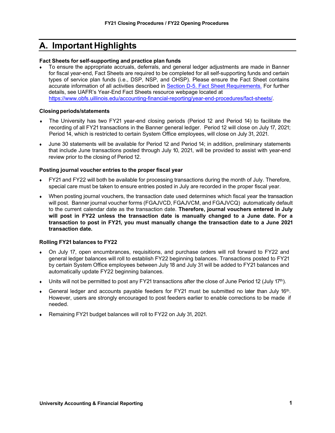### <span id="page-2-0"></span>**A. Important Highlights**

#### **Fact Sheets for self-supporting and practice plan funds**

To ensure the appropriate accruals, deferrals, and general ledger adjustments are made in Banner for fiscal year-end, Fact Sheets are required to be completed for all self-supporting funds and certain types of service plan funds (i.e., DSP, NSP, and OHSP). Please ensure the Fact Sheet contains accurate information of all activities described i[n Section D-5. Fact Sheet Requirements.](#page-17-0) For further details, see UAFR's Year-End Fact Sheets resource webpage located at https://www.[obfs.uillinois.edu/accounting-financial-reporting/year-end-procedures/fact-sheets/.](https://www.obfs.uillinois.edu/accounting-financial-reporting/year-end-procedures/fact-sheets/)

#### **Closingperiods/statements**

- The University has two FY21 year-end closing periods (Period 12 and Period 14) to facilitate the recording of all FY21 transactions in the Banner general ledger. Period 12 will close on July 17, 2021; Period 14, which is restricted to certain System Office employees, will close on July 31, 2021.
- June 30 statements will be available for Period 12 and Period 14; in addition, preliminary statements that include June transactions posted through July 10, 2021, will be provided to assist with year-end review prior to the closing of Period 12.

#### **Posting journal voucher entries to the proper fiscal year**

- FY21 and FY22 will both be available for processing transactions during the month of July. Therefore, special care must be taken to ensure entries posted in July are recorded in the proper fiscal year.
- When posting journal vouchers, the transaction date used determines which fiscal year the transaction will post. Banner journal voucher forms (FGAJVCD, FGAJVCM, and FGAJVCQ) automatically default to the current calendar date as the transaction date. **Therefore, journal vouchers entered in July will post in FY22 unless the transaction date is manually changed to a June date. For a transaction to post in FY21, you must manually change the transaction date to a June 2021 transaction date.**

#### **Rolling FY21 balances to FY22**

- On July 17, open encumbrances, requisitions, and purchase orders will roll forward to FY22 and general ledger balances will roll to establish FY22 beginning balances. Transactions posted to FY21 by certain System Office employees between July 18 and July 31 will be added to FY21 balances and automatically update FY22 beginning balances.
- Units will not be permitted to post any FY21 transactions after the close of June Period 12 (July 17<sup>th</sup>).
- General ledger and accounts payable feeders for FY21 must be submitted no later than July  $16<sup>th</sup>$ . However, users are strongly encouraged to post feeders earlier to enable corrections to be made if needed.
- Remaining FY21 budget balances will roll to FY22 on July 31, 2021.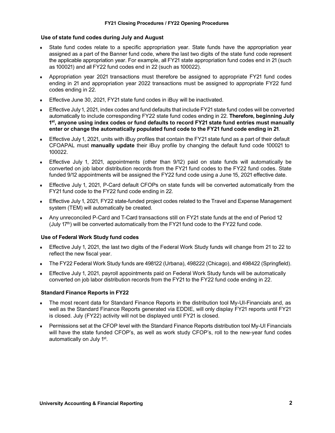#### **Use of state fund codes during July and August**

- State fund codes relate to a specific appropriation year. State funds have the appropriation year assigned as a part of the Banner fund code, where the last two digits of the state fund code represent the applicable appropriation year. For example, all FY21 state appropriation fund codes end in 21 (such as 100021) and all FY22 fund codes end in 22 (such as 100022).
- ♦ Appropriation year 2021 transactions must therefore be assigned to appropriate FY21 fund codes ending in 21 and appropriation year 2022 transactions must be assigned to appropriate FY22 fund codes ending in 22.
- ♦ Effective June 30, 2021, FY21 state fund codes in iBuy will be inactivated.
- Effective July 1, 2021, index codes and fund defaults that include FY21 state fund codes will be converted automatically to include corresponding FY22 state fund codes ending in 22. **Therefore, beginning July 1st, anyone using index codes or fund defaults to record FY21 state fund entries must manually enter or change the automatically populated fund code to the FY21 fund code ending in 21**.
- ♦ Effective July 1, 2021, units with iBuy profiles that contain the FY21 state fund as a part of their default CFOAPAL must **manually update** their iBuy profile by changing the default fund code 100021 to 100022.
- ♦ Effective July 1, 2021, appointments (other than 9/12) paid on state funds will automatically be converted on job labor distribution records from the FY21 fund codes to the FY22 fund codes. State funded 9/12 appointments will be assigned the FY22 fund code using a June 15, 2021 effective date.
- Effective July 1, 2021, P-Card default CFOPs on state funds will be converted automatically from the FY21 fund code to the FY22 fund code ending in 22.
- Effective July 1, 2021, FY22 state-funded project codes related to the Travel and Expense Management system (TEM) will automatically be created.
- Any unreconciled P-Card and T-Card transactions still on FY21 state funds at the end of Period 12 (July 17<sup>th</sup>) will be converted automatically from the FY21 fund code to the FY22 fund code.

#### **Use of Federal Work Study fund codes**

- Effective July 1, 2021, the last two digits of the Federal Work Study funds will change from 21 to 22 to reflect the new fiscal year.
- The FY22 Federal Work Study funds are 498122 (Urbana), 498222 (Chicago), and 498422 (Springfield).
- ♦ Effective July 1, 2021, payroll appointments paid on Federal Work Study funds will be automatically converted on job labor distribution records from the FY21 to the FY22 fund code ending in 22.

#### **Standard Finance Reports in FY22**

- ♦ The most recent data for Standard Finance Reports in the distribution tool My-UI-Financials and, as well as the Standard Finance Reports generated via EDDIE, will only display FY21 reports until FY21 is closed. July (FY22) activity will not be displayed until FY21 is closed.
- ♦ Permissions set at the CFOP level with the Standard Finance Reports distribution tool My-UI Financials will have the state funded CFOP's, as well as work study CFOP's, roll to the new-year fund codes automatically on July 1<sup>st</sup>.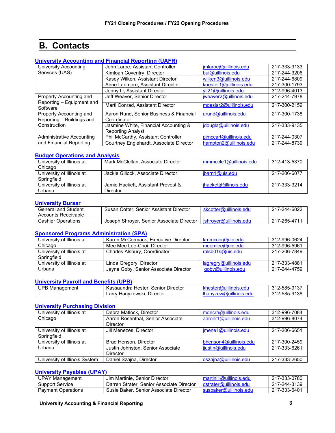### **B. Contacts**

#### <span id="page-4-0"></span>**[University Accounting and Financial Reporting \(UAFR\)](https://www.obfs.uillinois.edu/accounting-financial-reporting/)**

| <b>University Accounting</b>                         | John Laroe, Assistant Controller                       | imlaroe@uillinois.edu  | 217-333-9133 |
|------------------------------------------------------|--------------------------------------------------------|------------------------|--------------|
| Services (UAS)                                       | Kimloan Coventry, Director                             | bui@uillinois.edu      | 217-244-3206 |
|                                                      | Kasey Wilken, Assistant Director                       | wilken3@uillinois.edu  | 217-244-6809 |
|                                                      | Anne Larimore, Assistant Director                      | koester1@uillinois.edu | 217-300-1793 |
|                                                      | Jenny Li, Assistant Director                           | yli21@uillinois.edu    | 312-996-4013 |
| Property Accounting and<br>Reporting - Equipment and | Jeff Weaver, Senior Director                           | jweaver2@uillinois.edu | 217-244-7978 |
| Software                                             | Marti Conrad, Assistant Director                       | mdesjar2@uillinois.edu | 217-300-2159 |
| Property Accounting and<br>Reporting - Buildings and | Aaron Rund, Senior Business & Financial<br>Coordinator | arund@uillinois.edu    | 217-300-1738 |
| Construction                                         | Jasmine White, Financial Accounting &                  | jdougla@uillinois.edu  | 217-333-9135 |
|                                                      | <b>Reporting Analyst</b>                               |                        |              |
| <b>Administrative Accounting</b>                     | Phil McCarthy, Assistant Controller                    | pimccart@uillinois.edu | 217-244-0307 |
| and Financial Reporting                              | Courtney Englehardt, Associate Director                | hampton2@uillinois.edu | 217-244-8739 |

#### **[Budget Operations and Analysis](https://www.obfs.uillinois.edu/budgeting/)**

| University of Illinois at<br>Chicago     | Mark McClellan, Associate Director             | mmmccle1@uillinois.edu | 312-413-5370 |
|------------------------------------------|------------------------------------------------|------------------------|--------------|
| University of Illinois at<br>Springfield | Jackie Gillock, Associate Director             | jbarn1@uis.edu         | 217-206-6077 |
| University of Illinois at<br>Urbana      | Jamie Hackett, Assistant Provost &<br>Director | ihackett@illinois.edu  | 217-333-3214 |

#### **[University Bursar](https://www.obfs.uillinois.edu/usfsco/)**

| <b>General and Student</b><br>Accounts Receivable | Susan Cotter, Senior Assistant Director   | _skcotter@uillinois.edu | 217-244-6022 |
|---------------------------------------------------|-------------------------------------------|-------------------------|--------------|
| <b>Cashier Operations</b>                         | Joseph Shroyer, Senior Associate Director | ⊟ishrover@uillinois.edu | 217-265-4711 |

#### **[Sponsored Programs Administration](https://www.obfs.uillinois.edu/grants/) (SPA)**

| University of Illinois at                | Karen McCormack, Executive Director   | krnmccor@uic.edu       | 312-996-0624 |
|------------------------------------------|---------------------------------------|------------------------|--------------|
| Chicago                                  | Mee Mee Lee-Choi, Director            | meemlee@uic.edu        | 312-996-5961 |
| University of Illinois at<br>Springfield | Charles Alsbury, Coordinator          | ralsb01s@uis.edu       | 217-206-7849 |
| University of Illinois at                | Linda Gregory, Director               | lagregry@uillinois.edu | 217-333-4881 |
| Urbana                                   | Jayne Goby, Senior Associate Director | goby@uillinois.edu     | 217-244-4759 |

#### **[University Payroll and Benefits \(UPB\)](https://www.obfs.uillinois.edu/payroll/)**

| UPB N<br>'B Management | $D$ rector<br>Kassaundra<br>Hester<br>Senior<br>na. | <br>ois | 312-585-9137 |
|------------------------|-----------------------------------------------------|---------|--------------|
|                        | _arr<br>Director<br>Hanvzewski.                     | .cuu    | 312-585-9138 |

#### **[University Purchasing Division](https://www.obfs.uillinois.edu/purchases/)**

| University of Illinois at     | Debra Matlock, Director           | mdecra@uillinois.edu   | 312-996-7084 |
|-------------------------------|-----------------------------------|------------------------|--------------|
| Chicago                       | Aaron Rosenthal, Senior Associate | aaronr1@uillinois.edu  | 312-996-8074 |
|                               | <b>Director</b>                   |                        |              |
| University of Illinois at     | Jill Menezes, Director            | imene1@uillinois.edu   | 217-206-6651 |
| Springfield                   |                                   |                        |              |
| University of Illinois at     | Brad Henson, Director             | bhenson4@uillinois.edu | 217-300-2459 |
| Urbana                        | Justin Johnston, Senior Associate | jjustin@uillinois.edu  | 217-333-6261 |
|                               | <b>Director</b>                   |                        |              |
| University of Illinois System | Daniel Szajna, Director           | dszajna@uillinois.edu  | 217-333-2650 |

#### **[University Payables \(UPAY\)](https://www.obfs.uillinois.edu/payments/)**

| <b>UPAY Management</b>    | Jim Martinie. Senior Director             | martini1@uillinois.edu | 217-333-0780 |
|---------------------------|-------------------------------------------|------------------------|--------------|
| Support Service           | Darren Strater, Senior Associate Director | dstrater@uillinois.edu | 217-244-3139 |
| <b>Payment Operations</b> | Susie Baker, Senior Associate Director    | susbaker@uillinois.edu | 217-333-6401 |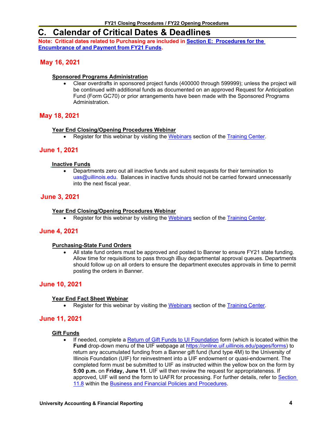### <span id="page-5-0"></span>**C. Calendar of Critical Dates & Deadlines**

**Note: Critical dates related to Purchasing are included in Section E: [Procedures](#page-18-1) for the [Encumbrance](#page-18-1) of and Payment from FY21 Funds.**

#### **May 16, 2021**

#### **Sponsored Programs Administration**

• Clear overdrafts in sponsored project funds (400000 through 599999); unless the project will be continued with additional funds as documented on an approved Request for Anticipation Fund (Form GC70) or prior arrangements have been made with the Sponsored Programs Administration.

#### **May 18, 2021**

#### **Year End Closing/Opening Procedures Webinar**

Register for this webinar by visiting the [Webinars](https://www.obfs.uillinois.edu/training/webinars) section of the [Training Center.](https://www.obfs.uillinois.edu/training/)

#### **June 1, 2021**

#### **Inactive Funds**

• Departments zero out all inactive funds and submit requests for their termination to [uas@uillinois.edu.](mailto:uas@uillinois.edu) Balances in inactive funds should not be carried forward unnecessarily into the next fiscal year.

#### **June 3, 2021**

#### **Year End Closing/Opening Procedures Webinar**

• Register for this webinar by visiting the [Webinars](https://www.obfs.uillinois.edu/training/webinars) section of the [Training Center.](https://www.obfs.uillinois.edu/training/)

#### **June 4, 2021**

#### **Purchasing-State Fund Orders**

• All state fund orders must be approved and posted to Banner to ensure FY21 state funding. Allow time for requisitions to pass through iBuy departmental approval queues. Departments should follow up on all orders to ensure the department executes approvals in time to permit posting the orders in Banner.

#### **June 10, 2021**

#### **Year End Fact Sheet Webinar**

• Register for this webinar by visiting the [Webinars](https://www.obfs.uillinois.edu/training/webinars) section of the [Training Center.](https://www.obfs.uillinois.edu/training/)

#### **June 11, 2021**

#### **Gift Funds**

If needed, complete a [Return of Gift Funds to UI Foundation](https://onlinecloudprod.uif.uillinois.edu/system/files/2019-05/Sec11-8TransferBANNERmoney.pdf?_ga=2.115374214.1893198321.1582128603-2044951025.1573163783) form (which is located within the **Fund** drop-down menu of the UIF webpage at [https://online.uif.uillinois.edu/pages/forms\)](https://online.uif.uillinois.edu/pages/forms) to return any accumulated funding from a Banner gift fund (fund type 4M) to the University of Illinois Foundation (UIF) for reinvestment into a UIF endowment or quasi-endowment. The completed form must be submitted to UIF as instructed within the yellow box on the form by **5:00 p.m.** on **Friday, June 11**. UIF will then review the request for appropriateness. If approved, UIF will send the form to UAFR for processing. For further details, refer to [Section](https://www.obfs.uillinois.edu/bfpp/section-11-gifts-endowments/section-11-8)  [11.8](https://www.obfs.uillinois.edu/bfpp/section-11-gifts-endowments/section-11-8) within the [Business and Financial Policies and Procedures.](https://www.obfs.uillinois.edu/bfpp/)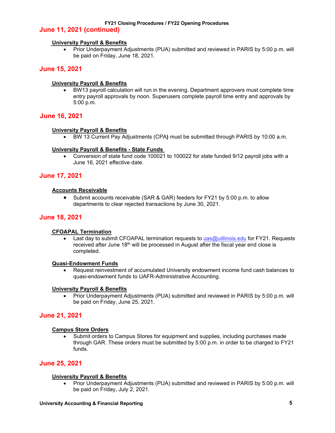#### **June 11, 2021 (continued)**

#### **University Payroll & Benefits**

• Prior Underpayment Adjustments (PUA) submitted and reviewed in PARIS by 5:00 p.m. will be paid on Friday, June 18, 2021.

#### **June 15, 2021**

#### **University Payroll & Benefits**

• BW13 payroll calculation will run in the evening. Department approvers must complete time entry payroll approvals by noon. Superusers complete payroll time entry and approvals by 5:00 p.m.

#### **June 16, 2021**

#### **University Payroll & Benefits**

• BW 13 Current Pay Adjustments (CPA**)** must be submitted through PARIS by 10:00 a.m.

#### **University Payroll & Benefits - State Funds**

• Conversion of state fund code 100021 to 100022 for state funded 9/12 payroll jobs with a June 16, 2021 effective date.

#### **June 17, 2021**

#### **Accounts Receivable**

• Submit accounts receivable (SAR & GAR) feeders for FY21 by 5:00 p.m. to allow departments to clear rejected transactions by June 30, 2021.

#### **June 18, 2021**

#### **CFOAPAL Termination**

• Last day to submit CFOAPAL termination requests to [uas@uillinois.edu](mailto:uas@uillinois.edu) for FY21. Requests received after June 18th will be processed in August after the fiscal year end close is completed.

#### **Quasi-Endowment Funds**

• Request reinvestment of accumulated University endowment income fund cash balances to quasi-endowment funds to UAFR-Administrative Accounting.

#### **University Payroll & Benefits**

• Prior Underpayment Adjustments (PUA) submitted and reviewed in PARIS by 5:00 p.m. will be paid on Friday, June 25, 2021.

#### **June 21, 2021**

#### **Campus Store Orders**

• Submit orders to Campus Stores for equipment and supplies, including purchases made through GAR. These orders must be submitted by 5:00 p.m. in order to be charged to FY21 funds.

#### **June 25, 2021**

#### **University Payroll & Benefits**

• Prior Underpayment Adjustments (PUA) submitted and reviewed in PARIS by 5:00 p.m. will be paid on Friday, July 2, 2021.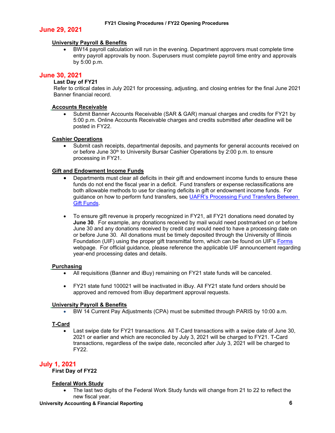#### **June 29, 2021**

#### **University Payroll & Benefits**

• BW14 payroll calculation will run in the evening. Department approvers must complete time entry payroll approvals by noon. Superusers must complete payroll time entry and approvals by 5:00 p.m.

#### **June 30, 2021**

#### **Last Day of FY21**

Refer to critical dates in July 2021 for processing, adjusting, and closing entries for the final June 2021 Banner financial record.

#### **Accounts Receivable**

• Submit Banner Accounts Receivable (SAR & GAR) manual charges and credits for FY21 by 5:00 p.m. Online Accounts Receivable charges and credits submitted after deadline will be posted in FY22.

#### **Cashier Operations**

• Submit cash receipts, departmental deposits, and payments for general accounts received on or before June 30<sup>th</sup> to University Bursar Cashier Operations by 2:00 p.m. to ensure processing in FY21.

#### **Gift and Endowment Income Funds**

- Departments must clear all deficits in their gift and endowment income funds to ensure these funds do not end the fiscal year in a deficit. Fund transfers or expense reclassifications are both allowable methods to use for clearing deficits in gift or endowment income funds. For guidance on how to perform fund transfers, see [UAFR's Processing Fund Transfers Between](https://www.obfs.uillinois.edu/common/pages/DisplayFile.aspx?itemId=1489980)  [Gift Funds.](https://www.obfs.uillinois.edu/common/pages/DisplayFile.aspx?itemId=1489980)
- To ensure gift revenue is properly recognized in FY21, all FY21 donations need donated by **June 30**. For example, any donations received by mail would need postmarked on or before June 30 and any donations received by credit card would need to have a processing date on or before June 30. All donations must be timely deposited through the University of Illinois Foundation (UIF) using the proper gift transmittal form, which can be found on UIF's [Forms](https://online.uif.uillinois.edu/pages/forms) webpage. For official guidance, please reference the applicable UIF announcement regarding year-end processing dates and details.

#### **Purchasing**

- All requisitions (Banner and iBuy) remaining on FY21 state funds will be canceled.
- FY21 state fund 100021 will be inactivated in iBuy. All FY21 state fund orders should be approved and removed from iBuy department approval requests.

#### **University Payroll & Benefits**

• BW 14 Current Pay Adjustments (CPA) must be submitted through PARIS by 10:00 a.m.

#### **T-Card**

• Last swipe date for FY21 transactions. All T-Card transactions with a swipe date of June 30, 2021 or earlier and which are reconciled by July 3, 2021 will be charged to FY21. T-Card transactions, regardless of the swipe date, reconciled after July 3, 2021 will be charged to FY22.

### **July 1, 2021 First Day of FY22**

#### **Federal Work Study**

• The last two digits of the Federal Work Study funds will change from 21 to 22 to reflect the new fiscal year.

#### **University Accounting & Financial Reporting 6**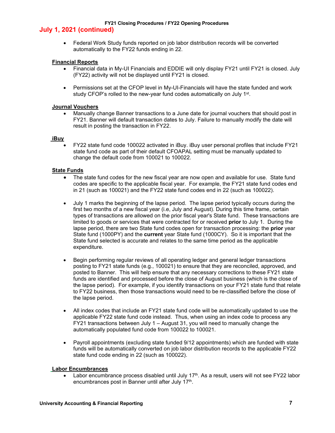#### **July 1, 2021 (continued)**

• Federal Work Study funds reported on job labor distribution records will be converted automatically to the FY22 funds ending in 22.

#### **Financial Reports**

- Financial data in My-UI Financials and EDDIE will only display FY21 until FY21 is closed. July (FY22) activity will not be displayed until FY21 is closed.
- Permissions set at the CFOP level in My-UI-Financials will have the state funded and work study CFOP's rolled to the new-year fund codes automatically on July 1<sup>st</sup>.

#### **Journal Vouchers**

• Manually change Banner transactions to a June date for journal vouchers that should post in FY21. Banner will default transaction dates to July. Failure to manually modify the date will result in posting the transaction in FY22.

#### **iBuy**

• FY22 state fund code 100022 activated in iBuy. iBuy user personal profiles that include FY21 state fund code as part of their default CFOAPAL setting must be manually updated to change the default code from 100021 to 100022.

#### **State Funds**

- The state fund codes for the new fiscal year are now open and available for use. State fund codes are specific to the applicable fiscal year. For example, the FY21 state fund codes end in 21 (such as 100021) and the FY22 state fund codes end in 22 (such as 100022).
- July 1 marks the beginning of the lapse period. The lapse period typically occurs during the first two months of a new fiscal year (i.e, July and August). During this time frame, certain types of transactions are allowed on the prior fiscal year's State fund. These transactions are limited to goods or services that were contracted for or received **prior** to July 1. During the lapse period, there are two State fund codes open for transaction processing: the **prior** year State fund (1000PY) and the **current** year State fund (1000CY). So it is important that the State fund selected is accurate and relates to the same time period as the applicable expenditure.
- Begin performing regular reviews of all operating ledger and general ledger transactions posting to FY21 state funds (e.g., 100021) to ensure that they are reconciled, approved, and posted to Banner. This will help ensure that any necessary corrections to these FY21 state funds are identified and processed before the close of August business (which is the close of the lapse period). For example, if you identify transactions on your FY21 state fund that relate to FY22 business, then those transactions would need to be re-classified before the close of the lapse period.
- All index codes that include an FY21 state fund code will be automatically updated to use the applicable FY22 state fund code instead. Thus, when using an index code to process any FY21 transactions between July 1 – August 31, you will need to manually change the automatically populated fund code from 100022 to 100021.
- Payroll appointments (excluding state funded 9/12 appointments) which are funded with state funds will be automatically converted on job labor distribution records to the applicable FY22 state fund code ending in 22 (such as 100022).

#### **Labor Encumbrances**

• Labor encumbrance process disabled until July  $17<sup>th</sup>$ . As a result, users will not see FY22 labor encumbrances post in Banner until after July 17<sup>th</sup>.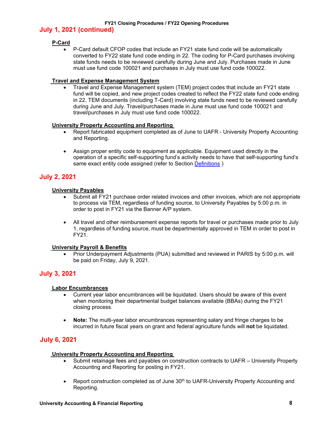#### **July 1, 2021 (continued)**

#### **P-Card**

• P-Card default CFOP codes that include an FY21 state fund code will be automatically converted to FY22 state fund code ending in 22. The coding for P-Card purchases involving state funds needs to be reviewed carefully during June and July. Purchases made in June must use fund code 100021 and purchases in July must use fund code 100022.

#### **Travel and Expense Management System**

• Travel and Expense Management system (TEM) project codes that include an FY21 state fund will be copied, and new project codes created to reflect the FY22 state fund code ending in 22. TEM documents (including T-Card) involving state funds need to be reviewed carefully during June and July. Travel/purchases made in June must use fund code 100021 and travel/purchases in July must use fund code 100022.

#### **University Property Accounting and Reporting**

- Report fabricated equipment completed as of June to UAFR University Property Accounting and Reporting.
- Assign proper entity code to equipment as applicable. Equipment used directly in the operation of a specific self-supporting fund's activity needs to have that self-supporting fund's same exact entity code assigned (refer to Section [Definitions](#page-23-1))

#### **July 2, 2021**

#### **University Payables**

- Submit all FY21 purchase order related invoices and other invoices, which are not appropriate to process via TEM, regardless of funding source, to University Payables by 5:00 p.m. in order to post in FY21 via the Banner A/P system.
- All travel and other reimbursement expense reports for travel or purchases made prior to July 1, regardless of funding source, must be departmentally approved in TEM in order to post in FY21.

#### **University Payroll & Benefits**

• Prior Underpayment Adjustments (PUA) submitted and reviewed in PARIS by 5:00 p.m. will be paid on Friday, July 9, 2021.

### **July 3, 2021**

#### **Labor Encumbrances**

- Current year labor encumbrances will be liquidated. Users should be aware of this event when monitoring their departmental budget balances available (BBAs) during the FY21 closing process.
- **Note:** The multi-year labor encumbrances representing salary and fringe charges to be incurred in future fiscal years on grant and federal agriculture funds will **not** be liquidated.

#### **July 6, 2021**

#### **University Property Accounting and Reporting**

- Submit retainage fees and payables on construction contracts to UAFR University Property Accounting and Reporting for posting in FY21.
- Report construction completed as of June 30<sup>th</sup> to UAFR-University Property Accounting and Reporting.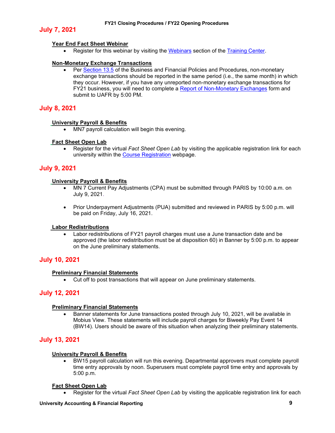#### **July 7, 2021**

#### **Year End Fact Sheet Webinar**

• Register for this webinar by visiting the [Webinars](https://www.obfs.uillinois.edu/training/webinars) section of the [Training Center.](https://www.obfs.uillinois.edu/training/)

#### **Non-Monetary Exchange Transactions**

• Per [Section 13.5](https://www.obfs.uillinois.edu/bfpp/section-13-accounting/non-monetary-exchanges) of the Business and Financial Policies and Procedures, non-monetary exchange transactions should be reported in the same period (i.e., the same month) in which they occur. However, if you have any unreported non-monetary exchange transactions for FY21 business, you will need to complete a [Report of Non-Monetary Exchanges](https://www.obfs.uillinois.edu/common/pages/DisplayFile.aspx?itemId=94671) form and submit to UAFR by 5:00 PM.

#### **July 8, 2021**

#### **University Payroll & Benefits**

• MN7 payroll calculation will begin this evening.

#### **Fact Sheet Open Lab**

• Register for the virtual *Fact Sheet Open Lab* by visiting the applicable registration link for each university within the **Course Registration** webpage.

#### **July 9, 2021**

#### **University Payroll & Benefits**

- MN 7 Current Pay Adjustments (CPA) must be submitted through PARIS by 10:00 a.m. on July 9, 2021.
- Prior Underpayment Adjustments (PUA) submitted and reviewed in PARIS by 5:00 p.m. will be paid on Friday, July 16, 2021.

#### **Labor Redistributions**

Labor redistributions of FY21 payroll charges must use a June transaction date and be approved (the labor redistribution must be at disposition 60) in Banner by 5:00 p.m. to appear on the June preliminary statements.

#### **July 10, 2021**

#### **Preliminary Financial Statements**

• Cut off to post transactions that will appear on June preliminary statements.

#### **July 12, 2021**

#### **Preliminary Financial Statements**

• Banner statements for June transactions posted through July 10, 2021, will be available in Mobius View. These statements will include payroll charges for Biweekly Pay Event 14 (BW14). Users should be aware of this situation when analyzing their preliminary statements.

#### **July 13, 2021**

#### **University Payroll & Benefits**

• BW15 payroll calculation will run this evening. Departmental approvers must complete payroll time entry approvals by noon. Superusers must complete payroll time entry and approvals by 5:00 p.m.

#### **Fact Sheet Open Lab**

• Register for the virtual *Fact Sheet Open Lab* by visiting the applicable registration link for each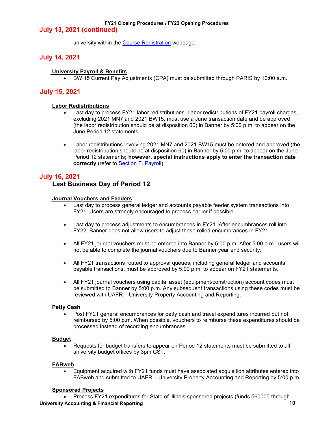#### **July 13, 2021 (continued)**

university within the [Course Registration](https://www.obfs.uillinois.edu/training/registration/) webpage.

#### **July 14, 2021**

#### **University Payroll & Benefits**

• BW 15 Current Pay Adjustments (CPA) must be submitted through PARIS by 10:00 a.m.

#### **July 15, 2021**

#### **Labor Redistributions**

- Last day to process FY21 labor redistributions. Labor redistributions of FY21 payroll charges, excluding 2021 MN7 and 2021 BW15, must use a June transaction date and be approved (the labor redistribution should be at disposition 60) in Banner by 5:00 p.m. to appear on the June Period 12 statements.
- Labor redistributions involving 2021 MN7 and 2021 BW15 must be entered and approved (the labor redistribution should be at disposition 60) in Banner by 5:00 p.m. to appear on the June Period 12 statements**; however, special instructions apply to enter the transaction date correctly** (refer to [Section F. Payroll\)](#page-20-0).

#### **July 16, 2021**

#### **Last Business Day of Period 12**

#### **Journal Vouchers and Feeders**

- Last day to process general ledger and accounts payable feeder system transactions into FY21. Users are strongly encouraged to process earlier if possible.
- Last day to process adjustments to encumbrances in FY21. After encumbrances roll into FY22, Banner does not allow users to adjust these rolled encumbrances in FY21.
- All FY21 journal vouchers must be entered into Banner by 5:00 p.m. After 5:00 p.m., users will not be able to complete the journal vouchers due to Banner year end security.
- All FY21 transactions routed to approval queues, including general ledger and accounts payable transactions, must be approved by 5:00 p.m. to appear on FY21 statements.
- All FY21 journal vouchers using capital asset (equipment/construction) account codes must be submitted to Banner by 5:00 p.m. Any subsequent transactions using these codes must be reviewed with UAFR – University Property Accounting and Reporting.

#### **Petty Cash**

• Post FY21 general encumbrances for petty cash and travel expenditures incurred but not reimbursed by 5:00 p.m. When possible, vouchers to reimburse these expenditures should be processed instead of recording encumbrances.

#### **Budget**

• Requests for budget transfers to appear on Period 12 statements must be submitted to all university budget offices by 3pm CST.

#### **FABweb**

• Equipment acquired with FY21 funds must have associated acquisition attributes entered into FABweb and submitted to UAFR – University Property Accounting and Reporting by 5:00 p.m.

#### **Sponsored Projects**

**University Accounting & Financial Reporting 10** • Process FY21 expenditures for State of Illinois sponsored projects (funds 560000 through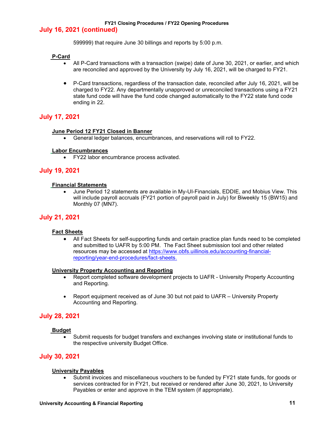#### **July 16, 2021 (continued)**

599999) that require June 30 billings and reports by 5:00 p.m.

#### **P-Card**

- All P-Card transactions with a transaction (swipe) date of June 30, 2021, or earlier, and which are reconciled and approved by the University by July 16, 2021, will be charged to FY21.
- P-Card transactions, regardless of the transaction date, reconciled *afte*r July 16, 2021, will be charged to FY22. Any departmentally unapproved or unreconciled transactions using a FY21 state fund code will have the fund code changed automatically to the FY22 state fund code ending in 22.

#### **July 17, 2021**

#### **June Period 12 FY21 Closed in Banner**

• General ledger balances, encumbrances, and reservations will roll to FY22.

#### **Labor Encumbrances**

• FY22 labor encumbrance process activated.

#### **July 19, 2021**

#### **Financial Statements**

• June Period 12 statements are available in My-UI-Financials, EDDIE, and Mobius View. This will include payroll accruals (FY21 portion of payroll paid in July) for Biweekly 15 (BW15) and Monthly 07 (MN7).

#### **July 21, 2021**

#### **Fact Sheets**

• All Fact Sheets for self-supporting funds and certain practice plan funds need to be completed and submitted to UAFR by 5:00 PM. The Fact Sheet submission tool and other related resources may be accessed at [https://www.obfs.uillinois.edu/accounting-financial](https://www.obfs.uillinois.edu/accounting-financial-reporting/year-end-procedures/fact-sheets)[reporting/year-end-procedures/fact-sheets.](https://www.obfs.uillinois.edu/accounting-financial-reporting/year-end-procedures/fact-sheets)

#### **University Property Accounting and Reporting**

- Report completed software development projects to UAFR University Property Accounting and Reporting.
- Report equipment received as of June 30 but not paid to UAFR University Property Accounting and Reporting.

#### **July 28, 2021**

#### **Budget**

• Submit requests for budget transfers and exchanges involving state or institutional funds to the respective university Budget Office.

#### **July 30, 2021**

#### **University Payables**

• Submit invoices and miscellaneous vouchers to be funded by FY21 state funds, for goods or services contracted for in FY21, but received or rendered after June 30, 2021, to University Payables or enter and approve in the TEM system (if appropriate).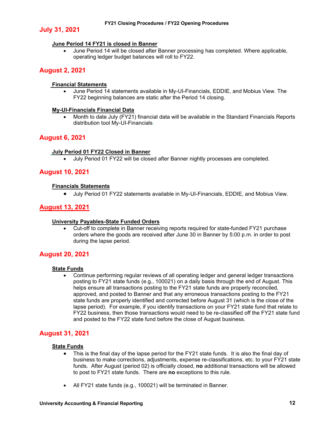#### **July 31, 2021**

#### **June Period 14 FY21 is closed in Banner**

• June Period 14 will be closed after Banner processing has completed. Where applicable, operating ledger budget balances will roll to FY22.

#### **August 2, 2021**

#### **Financial Statements**

• June Period 14 statements available in My-UI-Financials, EDDIE, and Mobius View. The FY22 beginning balances are static after the Period 14 closing.

#### **My-UI-Financials Financial Data**

• Month to date July (FY21) financial data will be available in the Standard Financials Reports distribution tool My-UI-Financials.

#### **August 6, 2021**

#### **July Period 01 FY22 Closed in Banner**

• July Period 01 FY22 will be closed after Banner nightly processes are completed.

#### **August 10, 2021**

#### **Financials Statements**

• July Period 01 FY22 statements available in My-UI-Financials, EDDIE, and Mobius View.

#### **August 13, 2021**

#### **University Payables-State Funded Orders**

• Cut-off to complete in Banner receiving reports required for state-funded FY21 purchase orders where the goods are received after June 30 in Banner by 5:00 p.m. in order to post during the lapse period.

#### **August 20, 2021**

#### **State Funds**

• Continue performing regular reviews of all operating ledger and general ledger transactions posting to FY21 state funds (e.g., 100021) on a daily basis through the end of August. This helps ensure all transactions posting to the FY21 state funds are properly reconciled, approved, and posted to Banner and that any erroneous transactions posting to the FY21 state funds are properly identified and corrected before August 31 (which is the close of the lapse period). For example, if you identify transactions on your FY21 state fund that relate to FY22 business, then those transactions would need to be re-classified off the FY21 state fund and posted to the FY22 state fund before the close of August business.

#### **August 31, 2021**

#### **State Funds**

- This is the final day of the lapse period for the FY21 state funds. It is also the final day of business to make corrections, adjustments, expense re-classifications, etc. to your FY21 state funds. After August (period 02) is officially closed, **no** additional transactions will be allowed to post to FY21 state funds. There are **no** exceptions to this rule.
- All FY21 state funds (e.g., 100021) will be terminated in Banner.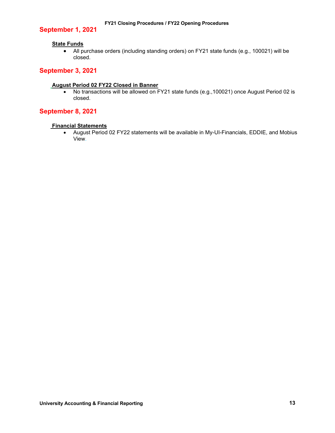#### **September 1, 2021**

#### **State Funds**

• All purchase orders (including standing orders) on FY21 state funds (e.g., 100021) will be closed.

#### **September 3, 2021**

#### **August Period 02 FY22 Closed in Banner**

• No transactions will be allowed on FY21 state funds (e.g.,100021) once August Period 02 is closed.

#### **September 8, 2021**

#### **Financial Statements**

• August Period 02 FY22 statements will be available in My-UI-Financials, EDDIE, and Mobius View.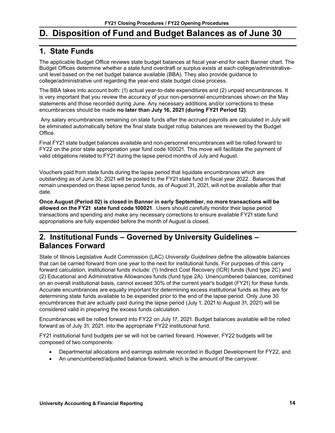### <span id="page-15-0"></span>**D. Disposition of Fund and Budget Balances as of June 30**

### <span id="page-15-1"></span>**1. State Funds**

The applicable Budget Office reviews state budget balances at fiscal year-end for each Banner chart. The Budget Offices determine whether a state fund overdraft or surplus exists at each college/administrativeunit level based on the net budget balance available (BBA). They also provide guidance to college/administrative unit regarding the year-end state budget close process.

The BBA takes into account both: (1) actual year-to-date expenditures and (2) unpaid encumbrances. It is very important that you review the accuracy of your non-personnel encumbrances shown on the May statements and those recorded during June. Any necessary additions and/or corrections to these encumbrances should be made **no later than July 16, 2021 (during FY21 Period 12)**.

Any salary encumbrances remaining on state funds after the accrued payrolls are calculated in July will be eliminated automatically before the final state budget rollup balances are reviewed by the Budget Office.

Final FY21 state budget balances available and non-personnel encumbrances will be rolled forward to FY22 on the prior state appropriation year fund code 100021. This move will facilitate the payment of valid obligations related to FY21 during the lapse period months of July and August.

Vouchers paid from state funds during the lapse period that liquidate encumbrances which are outstanding as of June 30, 2021 will be posted to the FY21 state fund in fiscal year 2022. Balances that remain unexpended on these lapse period funds, as of August 31, 2021, will not be available after that date.

**Once August (Period 02) is closed in Banner in early September, no more transactions will be allowed on the FY21 state fund code 100021**. Users should carefully monitor their lapse period transactions and spending and make any necessary corrections to ensure available FY21 state fund appropriations are fully expended before the month of August is closed.

### <span id="page-15-2"></span>**2. Institutional Funds – Governed by University Guidelines – Balances Forward**

State of Illinois Legislative Audit Commission (LAC) *University Guidelines* define the allowable balances that can be carried forward from one year to the next for institutional funds. For purposes of this carry forward calculation, institutional funds include: (1) Indirect Cost Recovery (ICR) funds (fund type 2C) and (2) Educational and Administrative Allowances funds (fund type 2A). Unencumbered balances, combined on an overall institutional basis, cannot exceed 30% of the current year's budget (FY21) for these funds. Accurate encumbrances are equally important for determining excess institutional funds as they are for determining state funds available to be expended prior to the end of the lapse period. Only June 30 encumbrances that are actually paid during the lapse period (July 1, 2021 to August 31, 2021) will be considered valid in preparing the excess funds calculation.

Encumbrances will be rolled forward into FY22 on July 17, 2021. Budget balances available will be rolled forward as of July 31, 2021, into the appropriate FY22 institutional fund.

FY21 institutional fund budgets per se will not be carried forward. However, FY22 budgets will be composed of two components:

- Departmental allocations and earnings estimate recorded in Budget Development for FY22, and
- An unencumbered/adjusted balance forward, which is the amount of the carryover.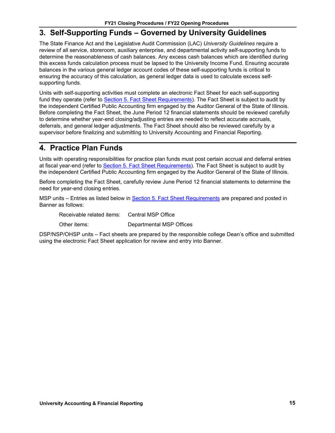### <span id="page-16-0"></span>**3. Self-Supporting Funds – Governed by University Guidelines**

The State Finance Act and the Legislative Audit Commission (LAC) *University Guidelines* require a review of all service, storeroom, auxiliary enterprise, and departmental activity self-supporting funds to determine the reasonableness of cash balances. Any excess cash balances which are identified during this excess funds calculation process must be lapsed to the University Income Fund. Ensuring accurate balances in the various general ledger account codes of these self-supporting funds is critical to ensuring the accuracy of this calculation, as general ledger data is used to calculate excess selfsupporting funds.

Units with self-supporting activities must complete an electronic Fact Sheet for each self-supporting fund they operate (refer to Section 5. [Fact Sheet Requirements\)](#page-17-0). The Fact Sheet is subject to audit by the independent Certified Public Accounting firm engaged by the Auditor General of the State of Illinois. Before completing the Fact Sheet, the June Period 12 financial statements should be reviewed carefully to determine whether year-end closing/adjusting entries are needed to reflect accurate accruals, deferrals, and general ledger adjustments. The Fact Sheet should also be reviewed carefully by a supervisor before finalizing and submitting to University Accounting and Financial Reporting.

### <span id="page-16-1"></span>**4. Practice Plan Funds**

Units with operating responsibilities for practice plan funds must post certain accrual and deferral entries at fiscal year-end (refer to Section 5. [Fact Sheet Requirements\)](#page-17-0). The Fact Sheet is subject to audit by the independent Certified Public Accounting firm engaged by the Auditor General of the State of Illinois.

Before completing the Fact Sheet, carefully review June Period 12 financial statements to determine the need for year-end closing entries.

MSP units – Entries as listed below in Section 5. [Fact Sheet Requirements](#page-17-0) are prepared and posted in Banner as follows:

Receivable related items: Central MSP Office

Other items: Departmental MSP Offices

DSP/NSP/OHSP units – Fact sheets are prepared by the responsible college Dean's office and submitted using the electronic Fact Sheet application for review and entry into Banner.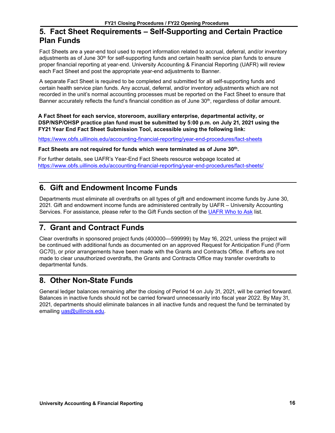### <span id="page-17-0"></span>**5. Fact Sheet Requirements – Self-Supporting and Certain Practice Plan Funds**

Fact Sheets are a year-end tool used to report information related to accrual, deferral, and/or inventory adjustments as of June 30<sup>th</sup> for self-supporting funds and certain health service plan funds to ensure proper financial reporting at year-end. University Accounting & Financial Reporting (UAFR) will review each Fact Sheet and post the appropriate year-end adjustments to Banner.

A separate Fact Sheet is required to be completed and submitted for all self-supporting funds and certain health service plan funds. Any accrual, deferral, and/or inventory adjustments which are not recorded in the unit's normal accounting processes must be reported on the Fact Sheet to ensure that Banner accurately reflects the fund's financial condition as of June  $30<sup>th</sup>$ , regardless of dollar amount.

**A Fact Sheet for each service, storeroom, auxiliary enterprise, departmental activity, or DSP/NSP/OHSP practice plan fund must be submitted by 5:00 p.m. on July 21, 2021 using the FY21 Year End Fact Sheet Submission Tool, accessible using the following link:**

<https://www.obfs.uillinois.edu/accounting-financial-reporting/year-end-procedures/fact-sheets>

**Fact Sheets are not required for funds which were terminated as of June 30th.**

For further details, see UAFR's Year-End Fact Sheets resource webpage located at <https://www.obfs.uillinois.edu/accounting-financial-reporting/year-end-procedures/fact-sheets/>

### <span id="page-17-1"></span>**6. Gift and Endowment Income Funds**

Departments must eliminate all overdrafts on all types of gift and endowment income funds by June 30, 2021. Gift and endowment income funds are administered centrally by UAFR – University Accounting Services. For assistance, please refer to the Gift Funds section of the [UAFR Who to Ask](https://www.obfs.uillinois.edu/accounting-financial-reporting/who-to-ask/types-questions#gift-funds-4m) list.

### <span id="page-17-2"></span>**7. Grant and Contract Funds**

Clear overdrafts in sponsored project funds (400000—599999) by May 16, 2021, unless the project will be continued with additional funds as documented on an approved Request for Anticipation Fund (Form GC70), or prior arrangements have been made with the Grants and Contracts Office. If efforts are not made to clear unauthorized overdrafts, the Grants and Contracts Office may transfer overdrafts to departmental funds.

### <span id="page-17-3"></span>**8. Other Non-State Funds**

General ledger balances remaining after the closing of Period 14 on July 31, 2021, will be carried forward. Balances in inactive funds should not be carried forward unnecessarily into fiscal year 2022. By May 31, 2021, departments should eliminate balances in all inactive funds and request the fund be terminated by emailing [uas@uillinois.edu.](mailto:uas@uillinois.edu)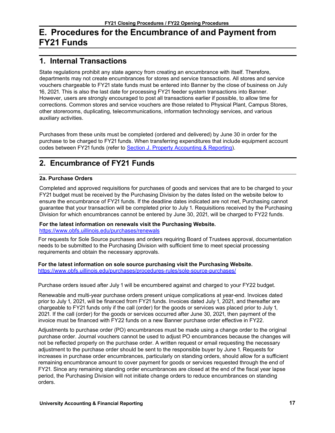### <span id="page-18-0"></span>**E. Procedures for the Encumbrance of and Payment from FY21 Funds**

### <span id="page-18-1"></span>**1. Internal Transactions**

State regulations prohibit any state agency from creating an encumbrance with itself. Therefore, departments may not create encumbrances for stores and service transactions. All stores and service vouchers chargeable to FY21 state funds must be entered into Banner by the close of business on July 16, 2021. This is also the last date for processing FY21 feeder system transactions into Banner. However, users are strongly encouraged to post all transactions earlier if possible, to allow time for corrections. Common stores and service vouchers are those related to Physical Plant, Campus Stores, other storerooms, duplicating, telecommunications, information technology services, and various auxiliary activities.

Purchases from these units must be completed (ordered and delivered) by June 30 in order for the purchase to be charged to FY21 funds. When transferring expenditures that include equipment account codes between FY21 funds (refer to Section J. [Property Accounting & Reporting\)](#page-22-0).

### <span id="page-18-2"></span>**2. Encumbrance of FY21 Funds**

#### **2a. Purchase Orders**

Completed and approved requisitions for purchases of goods and services that are to be charged to your FY21 budget must be received by the Purchasing Division by the dates listed on the website below to ensure the encumbrance of FY21 funds. If the deadline dates indicated are not met, Purchasing cannot guarantee that your transaction will be completed prior to July 1. Requisitions received by the Purchasing Division for which encumbrances cannot be entered by June 30, 2021, will be charged to FY22 funds.

#### **For the latest information on renewals visit the Purchasing Website.** <https://www.obfs.uillinois.edu/purchases/renewals>

For requests for Sole Source purchases and orders requiring Board of Trustees approval, documentation needs to be submitted to the Purchasing Division with sufficient time to meet special processing requirements and obtain the necessary approvals.

#### **For the latest information on sole source purchasing visit the Purchasing Website.**

<https://www.obfs.uillinois.edu/purchases/procedures-rules/sole-source-purchases/>

Purchase orders issued after July 1 will be encumbered against and charged to your FY22 budget.

Renewable and multi-year purchase orders present unique complications at year-end. Invoices dated prior to July 1, 2021, will be financed from FY21 funds. Invoices dated July 1, 2021, and thereafter are chargeable to FY21 funds only if the call (order) for the goods or services was placed prior to July 1, 2021. If the call (order) for the goods or services occurred after June 30, 2021, then payment of the invoice must be financed with FY22 funds on a new Banner purchase order effective in FY22.

Adjustments to purchase order (PO) encumbrances must be made using a change order to the original purchase order. Journal vouchers cannot be used to adjust PO encumbrances because the changes will not be reflected properly on the purchase order. A written request or email requesting the necessary adjustment to the purchase order should be sent to the responsible buyer by June 1. Requests for increases in purchase order encumbrances, particularly on standing orders, should allow for a sufficient remaining encumbrance amount to cover payment for goods or services requested through the end of FY21. Since any remaining standing order encumbrances are closed at the end of the fiscal year lapse period, the Purchasing Division will not initiate change orders to reduce encumbrances on standing orders.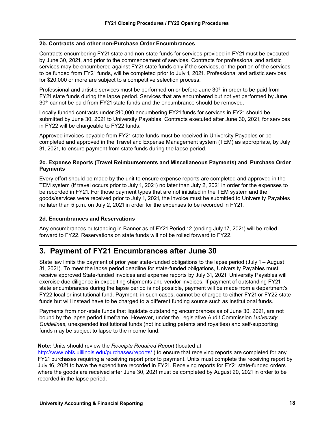#### **2b. Contracts and other non-Purchase Order Encumbrances**

Contracts encumbering FY21 state and non-state funds for services provided in FY21 must be executed by June 30, 2021, and prior to the commencement of services. Contracts for professional and artistic services may be encumbered against FY21 state funds only if the services, or the portion of the services to be funded from FY21 funds, will be completed prior to July 1, 2021. Professional and artistic services for \$20,000 or more are subject to a competitive selection process.

Professional and artistic services must be performed on or before June 30<sup>th</sup> in order to be paid from FY21 state funds during the lapse period. Services that are encumbered but not yet performed by June 30<sup>th</sup> cannot be paid from FY21 state funds and the encumbrance should be removed.

Locally funded contracts under \$10,000 encumbering FY21 funds for services in FY21 should be submitted by June 30, 2021 to University Payables. Contracts executed after June 30, 2021, for services in FY22 will be chargeable to FY22 funds.

Approved invoices payable from FY21 state funds must be received in University Payables or be completed and approved in the Travel and Expense Management system (TEM) as appropriate, by July 31, 2021, to ensure payment from state funds during the lapse period.

#### **2c. Expense Reports (Travel Reimbursements and Miscellaneous Payments) and Purchase Order Payments**

Every effort should be made by the unit to ensure expense reports are completed and approved in the TEM system (if travel occurs prior to July 1, 2021) no later than July 2, 2021 in order for the expenses to be recorded in FY21. For those payment types that are not initiated in the TEM system and the goods/services were received prior to July 1, 2021, the invoice must be submitted to University Payables no later than 5 p.m. on July 2, 2021 in order for the expenses to be recorded in FY21.

#### **2d. Encumbrances and Reservations**

Any encumbrances outstanding in Banner as of FY21 Period 12 (ending July 17, 2021) will be rolled forward to FY22. Reservations on state funds will not be rolled forward to FY22.

### <span id="page-19-0"></span>**3. Payment of FY21 Encumbrances after June 30**

State law limits the payment of prior year state-funded obligations to the lapse period (July 1 – August 31, 2021). To meet the lapse period deadline for state-funded obligations, University Payables must receive approved State-funded invoices and expense reports by July 31, 2021. University Payables will exercise due diligence in expediting shipments and vendor invoices. If payment of outstanding FY21 state encumbrances during the lapse period is not possible, payment will be made from a department's FY22 local or institutional fund. Payment, in such cases, cannot be charged to either FY21 or FY22 state funds but will instead have to be charged to a different funding source such as institutional funds.

Payments from non-state funds that liquidate outstanding encumbrances as of June 30, 2021, are not bound by the lapse period timeframe. However, under the Legislative Audit Commission *University Guidelines*, unexpended institutional funds (not including patents and royalties) and self-supporting funds may be subject to lapse to the income fund.

#### **Note:** Units should review the *Receipts Required Report* (located at

[http://www.obfs.uillinois.edu/purchases/reports/ \)](http://www.obfs.uillinois.edu/purchases/reports/) to ensure that receiving reports are completed for any FY21 purchases requiring a receiving report prior to payment. Units must complete the receiving report by July 16, 2021 to have the expenditure recorded in FY21. Receiving reports for FY21 state-funded orders where the goods are received after June 30, 2021 must be completed by August 20, 2021 in order to be recorded in the lapse period.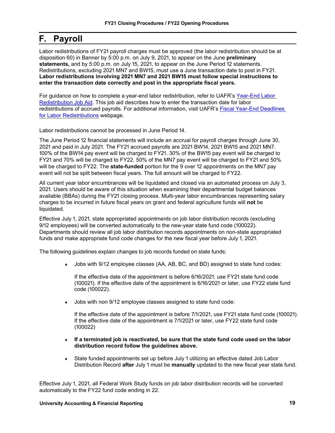### <span id="page-20-0"></span>**F. Payroll**

Labor redistributions of FY21 payroll charges must be approved (the labor redistribution should be at disposition 60) in Banner by 5:00 p.m. on July 9, 2021, to appear on the June **preliminary statements,** and by 5:00 p.m. on July 15, 2021, to appear on the June Period 12 statements. Redistributions, excluding 2021 MN7 and BW15, must use a June transaction date to post in FY21. **Labor redistributions involving 2021 MN7 and 2021 BW15 must follow special instructions to enter the transaction date correctly and post in the appropriate fiscal years.**

For guidance on how to complete a year-end labor redistribution, refer to UAFR's Year-End Labor [Redistribution Job Aid.](https://www.obfs.uillinois.edu/common/pages/DisplayFile.aspx?itemId=96588) This job aid describes how to enter the transaction date for labor redistributions of accrued payrolls. For additional information, visit UAFR's [Fiscal Year-End Deadlines](https://www.obfs.uillinois.edu/accounting-financial-reporting/year-end-procedures/year-end-deadlines/)  [for Labor Redistributions](https://www.obfs.uillinois.edu/accounting-financial-reporting/year-end-procedures/year-end-deadlines/) webpage.

Labor redistributions cannot be processed in June Period 14.

The June Period 12 financial statements will include an accrual for payroll charges through June 30, 2021 and paid in July 2021. The FY21 accrued payrolls are 2021 BW14, 2021 BW15 and 2021 MN7. 100% of the BW14 pay event will be charged to FY21. 30% of the BW15 pay event will be charged to FY21 and 70% will be charged to FY22. 50% of the MN7 pay event will be charged to FY21 and 50% will be charged to FY22. The **state-funded** portion for the 9 over 12 appointments on the MN7 pay event will not be split between fiscal years. The full amount will be charged to FY22.

All current year labor encumbrances will be liquidated and closed via an automated process on July 3, 2021. Users should be aware of this situation when examining their departmental budget balances available (BBAs) during the FY21 closing process. Multi-year labor encumbrances representing salary charges to be incurred in future fiscal years on grant and federal agriculture funds will **not** be liquidated.

Effective July 1, 2021, state appropriated appointments on job labor distribution records (excluding 9/12 employees) will be converted automatically to the new-year state fund code (100022). Departments should review all job labor distribution records appointments on non-state appropriated funds and make appropriate fund code changes for the new fiscal year before July 1, 2021.

The following guidelines explain changes to job records funded on state funds:

Jobs with 9/12 employee classes (AA, AB, BC, and BD) assigned to state fund codes:

If the effective date of the appointment is before 6/16/2021; use FY21 state fund code (100021). If the effective date of the appointment is 6/16/2021 or later, use FY22 state fund code (100022).

♦ Jobs with non 9/12 employee classes assigned to state fund code:

If the effective date of the appointment is before 7/1/2021, use FY21 state fund code (100021). If the effective date of the appointment is 7/1/2021 or later, use FY22 state fund code (100022)

- ♦ **If a terminated job is reactivated, be sure that the state fund code used on the labor distribution record follow the guidelines above.**
- State funded appointments set up before July 1 utilizing an effective dated Job Labor Distribution Record **after** July 1 must be **manually** updated to the new fiscal year state fund.

Effective July 1, 2021, all Federal Work Study funds on job labor distribution records will be converted automatically to the FY22 fund code ending in 22.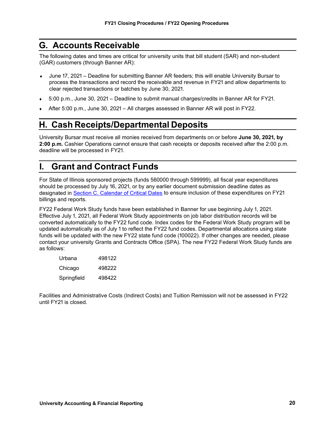### <span id="page-21-0"></span>**G. Accounts Receivable**

The following dates and times are critical for university units that bill student (SAR) and non-student (GAR) customers (through Banner AR):

- ♦ June 17, 2021 Deadline for submitting Banner AR feeders; this will enable University Bursar to process the transactions and record the receivable and revenue in FY21 and allow departments to clear rejected transactions or batches by June 30, 2021.
- ♦ 5:00 p.m., June 30, 2021 Deadline to submit manual charges/credits in Banner AR for FY21.
- After 5:00 p.m., June 30, 2021 All charges assessed in Banner AR will post in FY22.

### <span id="page-21-1"></span>**H. Cash Receipts/Departmental Deposits**

University Bursar must receive all monies received from departments on or before **June 30, 2021, by 2:00 p.m.** Cashier Operations cannot ensure that cash receipts or deposits received after the 2:00 p.m. deadline will be processed in FY21.

### <span id="page-21-2"></span>**I. Grant and Contract Funds**

For State of Illinois sponsored projects (funds 560000 through 599999), all fiscal year expenditures should be processed by July 16, 2021, or by any earlier document submission deadline dates as designated in [Section C. Calendar of Critical Dates](#page-5-0) to ensure inclusion of these expenditures on FY21 billings and reports.

FY22 Federal Work Study funds have been established in Banner for use beginning July 1, 2021. Effective July 1, 2021, all Federal Work Study appointments on job labor distribution records will be converted automatically to the FY22 fund code. Index codes for the Federal Work Study program will be updated automatically as of July 1 to reflect the FY22 fund codes. Departmental allocations using state funds will be updated with the new FY22 state fund code (100022). If other changes are needed, please contact your university Grants and Contracts Office (SPA). The new FY22 Federal Work Study funds are as follows:

| Urbana      | 498122 |
|-------------|--------|
| Chicago     | 498222 |
| Springfield | 498422 |

Facilities and Administrative Costs (Indirect Costs) and Tuition Remission will not be assessed in FY22 until FY21 is closed.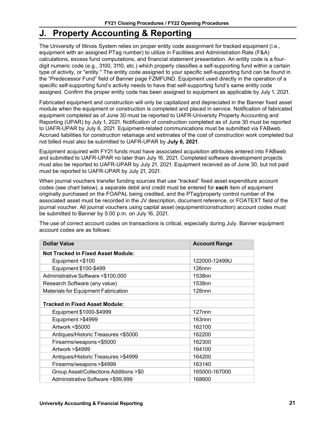### <span id="page-22-0"></span>**J. Property Accounting & Reporting**

The University of Illinois System relies on proper entity code assignment for tracked equipment (i.e., equipment with an assigned PTag number) to utilize in Facilities and Administration Rate (F&A) calculations, excess fund computations, and financial statement presentation. An entity code is a fourdigit numeric code (e.g., 3100, 3110, etc.) which properly classifies a self-supporting fund within a certain type of activity, or "entity." The entity code assigned to your specific self-supporting fund can be found in the "Predecessor Fund" field of Banner page FZMFUND. Equipment used directly in the operation of a specific self-supporting fund's activity needs to have that self-supporting fund's same entity code assigned. Confirm the proper entity code has been assigned to equipment as applicable by July 1, 2021.

Fabricated equipment and construction will only be capitalized and depreciated in the Banner fixed asset module when the equipment or construction is completed and placed in service. Notification of fabricated equipment completed as of June 30 must be reported to UAFR-University Property Accounting and Reporting (UPAR) by July 1, 2021. Notification of construction completed as of June 30 must be reported to UAFR-UPAR by July 6, 2021. Equipment-related communications must be submitted via FABweb. Accrued liabilities for construction retainage and estimates of the cost of construction work completed but not billed must also be submitted to UAFR-UPAR by **July 6, 2021**.

Equipment acquired with FY21 funds must have associated acquisition attributes entered into FABweb and submitted to UAFR-UPAR no later than July 16, 2021. Completed software development projects must also be reported to UAFR-UPAR by July 21, 2021. Equipment received as of June 30, but not paid must be reported to UAFR-UPAR by July 21, 2021.

When journal vouchers transfer funding sources that use "tracked" fixed asset expenditure account codes (see chart below), a separate debit and credit must be entered for **each** item of equipment originally purchased on the FOAPAL being credited, and the PTag/property control number of the associated asset must be recorded in the JV description, document reference, or FOATEXT field of the journal voucher. All journal vouchers using capital asset (equipment/construction) account codes must be submitted to Banner by 5:00 p.m. on July 16, 2021.

The use of correct account codes on transactions is critical, especially during July. Banner equipment account codes are as follows:

| <b>Dollar Value</b>                        | <b>Account Range</b> |
|--------------------------------------------|----------------------|
| <b>Not Tracked in Fixed Asset Module:</b>  |                      |
| Equipment <\$100                           | 122000-12499U        |
| Equipment \$100-\$499                      | 126 <sub>nnn</sub>   |
| Administrative Software <\$100,000         | 1538nn               |
| Research Software (any value)              | 1538nn               |
| <b>Materials for Equipment Fabrication</b> | 128 <sub>nnn</sub>   |
|                                            |                      |
| <b>Tracked in Fixed Asset Module:</b>      |                      |
| Equipment \$1000-\$4999                    | $127$ nnn            |
| Equipment > \$4999                         | $163$ nnn            |
| Artwork <\$5000                            | 162100               |
| Antiques/Historic Treasures <\$5000        | 162200               |
| Firearms/weapons <\$5000                   | 162300               |
| Artwork > \$4999                           | 164100               |
| Antiques/Historic Treasures > \$4999       | 164200               |
| Firearms/weapons>\$4999                    | 163140               |
| Group Asset/Collections Additions >\$0     | 165000-167000        |
| Administrative Software >\$99,999          | 168600               |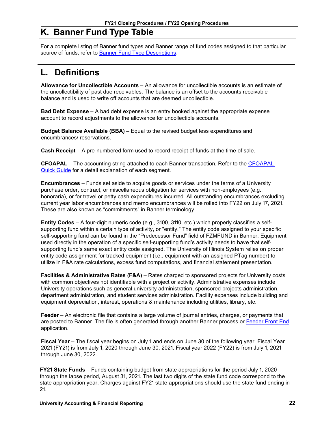### <span id="page-23-0"></span>**K. Banner Fund Type Table**

For a complete listing of Banner fund types and Banner range of fund codes assigned to that particular source of funds, refer to **Banner Fund Type Descriptions**.

### <span id="page-23-1"></span>**L. Definitions**

**Allowance for Uncollectible Accounts** – An allowance for uncollectible accounts is an estimate of the uncollectibility of past due receivables. The balance is an offset to the accounts receivable balance and is used to write off accounts that are deemed uncollectible.

**Bad Debt Expense** – A bad debt expense is an entry booked against the appropriate expense account to record adjustments to the allowance for uncollectible accounts.

**Budget Balance Available (BBA)** – Equal to the revised budget less expenditures and encumbrances/ reservations.

**Cash Receipt** – A pre-numbered form used to record receipt of funds at the time of sale.

**CFOAPAL** – The accounting string attached to each Banner transaction. Refer to the [CFOAPAL](https://www.obfs.uillinois.edu/training/materials/intro-banner-finance/c-foapal-quick-guide/)  [Quick Guide](https://www.obfs.uillinois.edu/training/materials/intro-banner-finance/c-foapal-quick-guide/) for a detail explanation of each segment.

**Encumbrances** – Funds set aside to acquire goods or services under the terms of a University purchase order, contract, or miscellaneous obligation for services with non-employees (e.g., honoraria), or for travel or petty cash expenditures incurred. All outstanding encumbrances excluding current year labor encumbrances and memo encumbrances will be rolled into FY22 on July 17, 2021. These are also known as "commitments" in Banner terminology.

**Entity Codes** – A four-digit numeric code (e.g., 3100, 3110, etc.) which properly classifies a selfsupporting fund within a certain type of activity, or "entity." The entity code assigned to your specific self-supporting fund can be found in the "Predecessor Fund" field of FZMFUND in Banner. Equipment used directly in the operation of a specific self-supporting fund's activity needs to have that selfsupporting fund's same exact entity code assigned. The University of Illinois System relies on proper entity code assignment for tracked equipment (i.e., equipment with an assigned PTag number) to utilize in F&A rate calculations, excess fund computations, and financial statement presentation.

**Facilities & Administrative Rates (F&A)** – Rates charged to sponsored projects for University costs with common objectives not identifiable with a project or activity. Administrative expenses include University operations such as general university administration, sponsored projects administration, department administration, and student services administration. Facility expenses include building and equipment depreciation, interest, operations & maintenance including utilities, library, etc.

**Feeder** – An electronic file that contains a large volume of journal entries, charges, or payments that are posted to Banner. The file is often generated through another Banner process or [Feeder Front End](https://www.obfs.uillinois.edu/finance-feeder-front-end-resource-page/) application.

**Fiscal Year** – The fiscal year begins on July 1 and ends on June 30 of the following year. Fiscal Year 2021 (FY21) is from July 1, 2020 through June 30, 2021. Fiscal year 2022 (FY22) is from July 1, 2021 through June 30, 2022.

**FY21 State Funds** – Funds containing budget from state appropriations for the period July 1, 2020 through the lapse period, August 31, 2021. The last two digits of the state fund code correspond to the state appropriation year. Charges against FY21 state appropriations should use the state fund ending in 21.